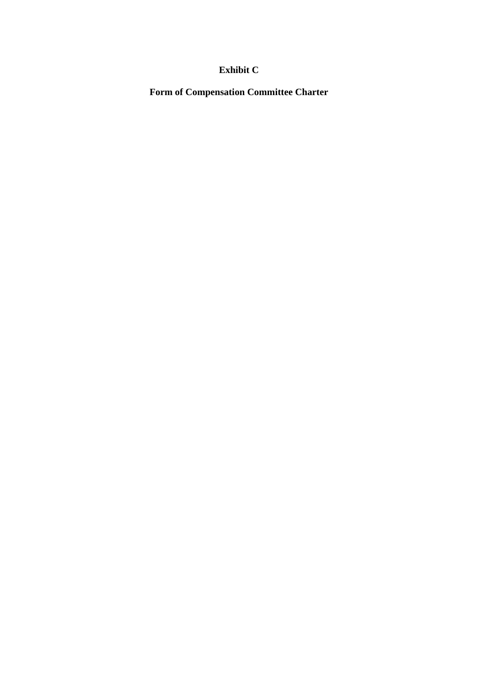# **Exhibit C**

**Form of Compensation Committee Charter**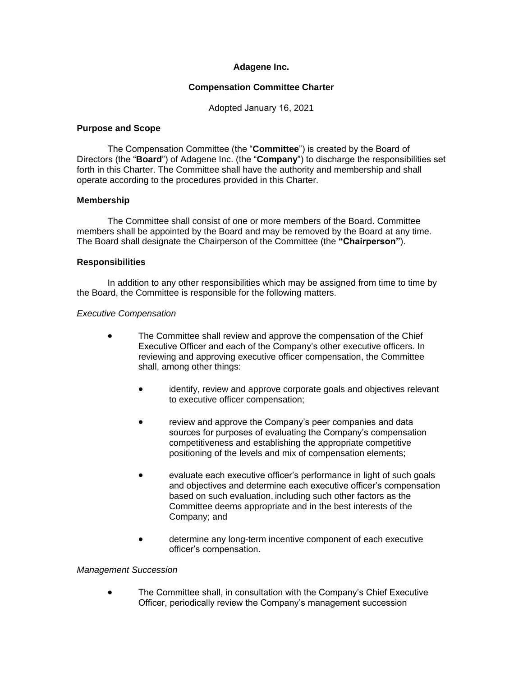# **Adagene Inc.**

## **Compensation Committee Charter**

Adopted January 16, 2021

#### **Purpose and Scope**

The Compensation Committee (the "**Committee**") is created by the Board of Directors (the "**Board**") of Adagene Inc. (the "**Company**") to discharge the responsibilities set forth in this Charter. The Committee shall have the authority and membership and shall operate according to the procedures provided in this Charter.

## **Membership**

The Committee shall consist of one or more members of the Board. Committee members shall be appointed by the Board and may be removed by the Board at any time. The Board shall designate the Chairperson of the Committee (the **"Chairperson"**).

#### **Responsibilities**

In addition to any other responsibilities which may be assigned from time to time by the Board, the Committee is responsible for the following matters.

#### *Executive Compensation*

- The Committee shall review and approve the compensation of the Chief Executive Officer and each of the Company's other executive officers. In reviewing and approving executive officer compensation, the Committee shall, among other things:
	- identify, review and approve corporate goals and objectives relevant to executive officer compensation;
	- review and approve the Company's peer companies and data sources for purposes of evaluating the Company's compensation competitiveness and establishing the appropriate competitive positioning of the levels and mix of compensation elements;
	- evaluate each executive officer's performance in light of such goals and objectives and determine each executive officer's compensation based on such evaluation, including such other factors as the Committee deems appropriate and in the best interests of the Company; and
	- determine any long-term incentive component of each executive officer's compensation.

## *Management Succession*

 The Committee shall, in consultation with the Company's Chief Executive Officer, periodically review the Company's management succession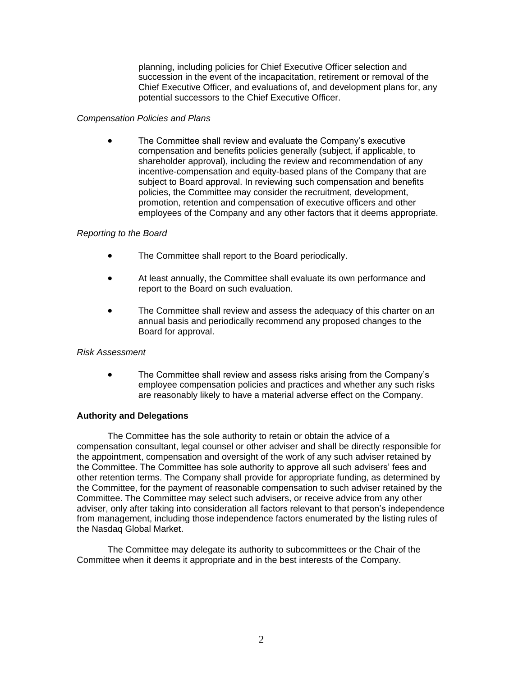planning, including policies for Chief Executive Officer selection and succession in the event of the incapacitation, retirement or removal of the Chief Executive Officer, and evaluations of, and development plans for, any potential successors to the Chief Executive Officer.

#### *Compensation Policies and Plans*

 The Committee shall review and evaluate the Company's executive compensation and benefits policies generally (subject, if applicable, to shareholder approval), including the review and recommendation of any incentive-compensation and equity-based plans of the Company that are subject to Board approval. In reviewing such compensation and benefits policies, the Committee may consider the recruitment, development, promotion, retention and compensation of executive officers and other employees of the Company and any other factors that it deems appropriate.

## *Reporting to the Board*

- The Committee shall report to the Board periodically.
- At least annually, the Committee shall evaluate its own performance and report to the Board on such evaluation.
- The Committee shall review and assess the adequacy of this charter on an annual basis and periodically recommend any proposed changes to the Board for approval.

## *Risk Assessment*

• The Committee shall review and assess risks arising from the Company's employee compensation policies and practices and whether any such risks are reasonably likely to have a material adverse effect on the Company.

## **Authority and Delegations**

The Committee has the sole authority to retain or obtain the advice of a compensation consultant, legal counsel or other adviser and shall be directly responsible for the appointment, compensation and oversight of the work of any such adviser retained by the Committee. The Committee has sole authority to approve all such advisers' fees and other retention terms. The Company shall provide for appropriate funding, as determined by the Committee, for the payment of reasonable compensation to such adviser retained by the Committee. The Committee may select such advisers, or receive advice from any other adviser, only after taking into consideration all factors relevant to that person's independence from management, including those independence factors enumerated by the listing rules of the Nasdaq Global Market.

The Committee may delegate its authority to subcommittees or the Chair of the Committee when it deems it appropriate and in the best interests of the Company.